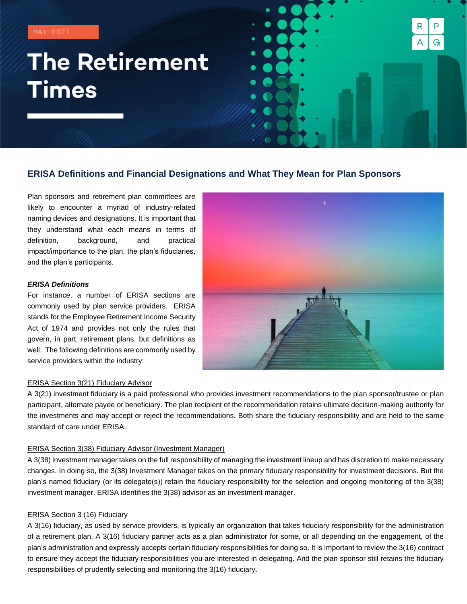MAY 2021

# **The Retirement Times**

# **ERISA Definitions and Financial Designations and What They Mean for Plan Sponsors**

Plan sponsors and retirement plan committees are likely to encounter a myriad of industry-related naming devices and designations. It is important that they understand what each means in terms of definition, background, and practical impact/importance to the plan, the plan's fiduciaries, and the plan's participants.

# *ERISA Definitions*

For instance, a number of ERISA sections are commonly used by plan service providers. ERISA stands for the Employee Retirement Income Security Act of 1974 and provides not only the rules that govern, in part, retirement plans, but definitions as well. The following definitions are commonly used by service providers within the industry:



R

А

P

G

#### ERISA Section 3(21) Fiduciary Advisor

A 3(21) investment fiduciary is a paid professional who provides investment recommendations to the plan sponsor/trustee or plan participant, alternate payee or beneficiary. The plan recipient of the recommendation retains ultimate decision-making authority for the investments and may accept or reject the recommendations. Both share the fiduciary responsibility and are held to the same standard of care under ERISA.

# ERISA Section 3(38) Fiduciary Advisor (Investment Manager)

A 3(38) investment manager takes on the full responsibility of managing the investment lineup and has discretion to make necessary changes. In doing so, the 3(38) Investment Manager takes on the primary fiduciary responsibility for investment decisions. But the plan's named fiduciary (or its delegate(s)) retain the fiduciary responsibility for the selection and ongoing monitoring of the 3(38) investment manager. ERISA identifies the 3(38) advisor as an investment manager.

# ERISA Section 3 (16) Fiduciary

A 3(16) fiduciary, as used by service providers, is typically an organization that takes fiduciary responsibility for the administration of a retirement plan. A 3(16) fiduciary partner acts as a plan administrator for some, or all depending on the engagement, of the plan's administration and expressly accepts certain fiduciary responsibilities for doing so. It is important to review the 3(16) contract to ensure they accept the fiduciary responsibilities you are interested in delegating. And the plan sponsor still retains the fiduciary responsibilities of prudently selecting and monitoring the 3(16) fiduciary.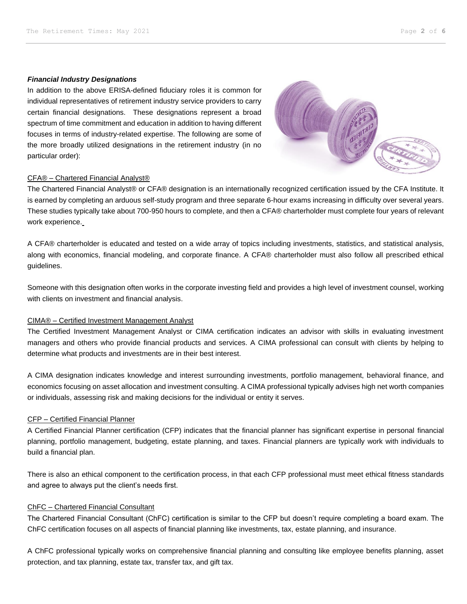# *Financial Industry Designations*

In addition to the above ERISA-defined fiduciary roles it is common for individual representatives of retirement industry service providers to carry certain financial designations. These designations represent a broad spectrum of time commitment and education in addition to having different focuses in terms of industry-related expertise. The following are some of the more broadly utilized designations in the retirement industry (in no particular order):



# CFA® – Chartered Financial Analyst®

The Chartered Financial Analyst® or CFA® designation is an internationally recognized certification issued by the CFA Institute. It is earned by completing an arduous self-study program and three separate 6-hour exams increasing in difficulty over several years. These studies typically take about 700-950 hours to complete, and then a CFA® charterholder must complete four years of relevant work experience.

A CFA® charterholder is educated and tested on a wide array of topics including investments, statistics, and statistical analysis, along with economics, financial modeling, and corporate finance. A CFA® charterholder must also follow all prescribed ethical guidelines.

Someone with this designation often works in the corporate investing field and provides a high level of investment counsel, working with clients on investment and financial analysis.

### CIMA® – Certified Investment Management Analyst

The Certified Investment Management Analyst or CIMA certification indicates an advisor with skills in evaluating investment managers and others who provide financial products and services. A CIMA professional can consult with clients by helping to determine what products and investments are in their best interest.

A CIMA designation indicates knowledge and interest surrounding investments, portfolio management, behavioral finance, and economics focusing on asset allocation and investment consulting. A CIMA professional typically advises high net worth companies or individuals, assessing risk and making decisions for the individual or entity it serves.

# CFP – Certified Financial Planner

A Certified Financial Planner certification (CFP) indicates that the financial planner has significant expertise in personal financial planning, portfolio management, budgeting, estate planning, and taxes. Financial planners are typically work with individuals to build a financial plan.

There is also an ethical component to the certification process, in that each CFP professional must meet ethical fitness standards and agree to always put the client's needs first.

# ChFC – Chartered Financial Consultant

The Chartered Financial Consultant (ChFC) certification is similar to the CFP but doesn't require completing a board exam. The ChFC certification focuses on all aspects of financial planning like investments, tax, estate planning, and insurance.

A ChFC professional typically works on comprehensive financial planning and consulting like employee benefits planning, asset protection, and tax planning, estate tax, transfer tax, and gift tax.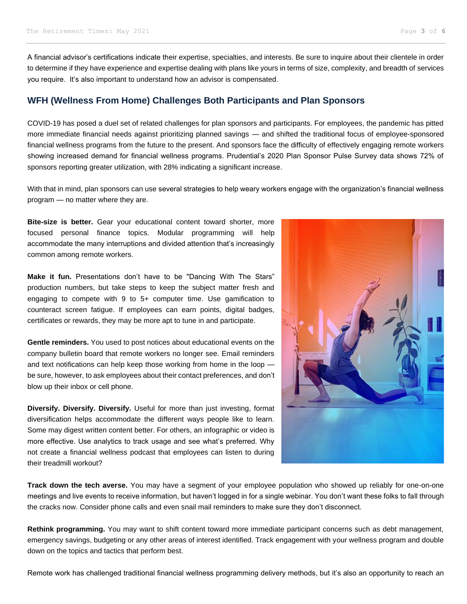A financial advisor's certifications indicate their expertise, specialties, and interests. Be sure to inquire about their clientele in order to determine if they have experience and expertise dealing with plans like yours in terms of size, complexity, and breadth of services you require. It's also important to understand how an advisor is compensated.

# **WFH (Wellness From Home) Challenges Both Participants and Plan Sponsors**

COVID-19 has posed a duel set of related challenges for plan sponsors and participants. For employees, the pandemic has pitted more immediate financial needs against prioritizing planned savings — and shifted the traditional focus of employee-sponsored financial wellness programs from the future to the present. And sponsors face the difficulty of effectively engaging remote workers showing increased demand for financial wellness programs. Prudential's 2020 Plan Sponsor Pulse Survey data shows 72% of sponsors reporting greater utilization, with 28% indicating a significant increase.

With that in mind, plan sponsors can use several strategies to help weary workers engage with the organization's financial wellness program — no matter where they are.

**Bite-size is better.** Gear your educational content toward shorter, more focused personal finance topics. Modular programming will help accommodate the many interruptions and divided attention that's increasingly common among remote workers.

**Make it fun.** Presentations don't have to be "Dancing With The Stars" production numbers, but take steps to keep the subject matter fresh and engaging to compete with 9 to 5+ computer time. Use gamification to counteract screen fatigue. If employees can earn points, digital badges, certificates or rewards, they may be more apt to tune in and participate.

**Gentle reminders.** You used to post notices about educational events on the company bulletin board that remote workers no longer see. Email reminders and text notifications can help keep those working from home in the loop be sure, however, to ask employees about their contact preferences, and don't blow up their inbox or cell phone.

**Diversify. Diversify. Diversify.** Useful for more than just investing, format diversification helps accommodate the different ways people like to learn. Some may digest written content better. For others, an infographic or video is more effective. Use analytics to track usage and see what's preferred. Why not create a financial wellness podcast that employees can listen to during their treadmill workout?



**Track down the tech averse.** You may have a segment of your employee population who showed up reliably for one-on-one meetings and live events to receive information, but haven't logged in for a single webinar. You don't want these folks to fall through the cracks now. Consider phone calls and even snail mail reminders to make sure they don't disconnect.

**Rethink programming.** You may want to shift content toward more immediate participant concerns such as debt management, emergency savings, budgeting or any other areas of interest identified. Track engagement with your wellness program and double down on the topics and tactics that perform best.

Remote work has challenged traditional financial wellness programming delivery methods, but it's also an opportunity to reach an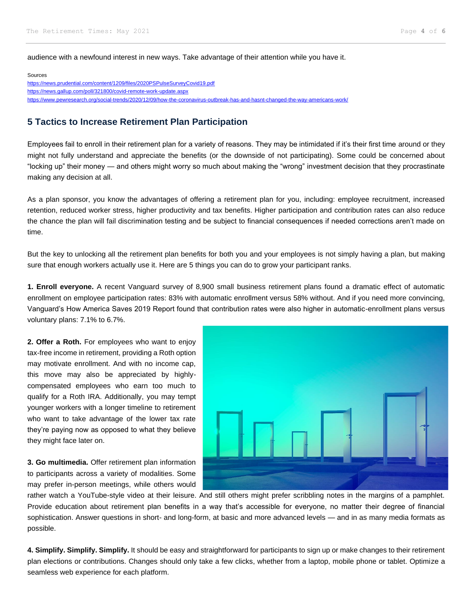audience with a newfound interest in new ways. Take advantage of their attention while you have it.

Sources <https://news.prudential.com/content/1209/files/2020PSPulseSurveyCovid19.pdf> <https://news.gallup.com/poll/321800/covid-remote-work-update.aspx> <https://www.pewresearch.org/social-trends/2020/12/09/how-the-coronavirus-outbreak-has-and-hasnt-changed-the-way-americans-work/>

# **5 Tactics to Increase Retirement Plan Participation**

Employees fail to enroll in their retirement plan for a variety of reasons. They may be intimidated if it's their first time around or they might not fully understand and appreciate the benefits (or the downside of not participating). Some could be concerned about "locking up" their money — and others might worry so much about making the "wrong" investment decision that they procrastinate making any decision at all.

As a plan sponsor, you know the advantages of offering a retirement plan for you, including: employee recruitment, increased retention, reduced worker stress, higher productivity and tax benefits. Higher participation and contribution rates can also reduce the chance the plan will fail discrimination testing and be subject to financial consequences if needed corrections aren't made on time.

But the key to unlocking all the retirement plan benefits for both you and your employees is not simply having a plan, but making sure that enough workers actually use it. Here are 5 things you can do to grow your participant ranks.

**1. Enroll everyone.** A recent Vanguard survey of 8,900 small business retirement plans found a dramatic effect of automatic enrollment on employee participation rates: 83% with automatic enrollment versus 58% without. And if you need more convincing, Vanguard's How America Saves 2019 Report found that contribution rates were also higher in automatic-enrollment plans versus voluntary plans: 7.1% to 6.7%.

**2. Offer a Roth.** For employees who want to enjoy tax-free income in retirement, providing a Roth option may motivate enrollment. And with no income cap, this move may also be appreciated by highlycompensated employees who earn too much to qualify for a Roth IRA. Additionally, you may tempt younger workers with a longer timeline to retirement who want to take advantage of the lower tax rate they're paying now as opposed to what they believe they might face later on.

**3. Go multimedia.** Offer retirement plan information to participants across a variety of modalities. Some may prefer in-person meetings, while others would



rather watch a YouTube-style video at their leisure. And still others might prefer scribbling notes in the margins of a pamphlet. Provide education about retirement plan benefits in a way that's accessible for everyone, no matter their degree of financial sophistication. Answer questions in short- and long-form, at basic and more advanced levels — and in as many media formats as possible.

**4. Simplify. Simplify. Simplify.** It should be easy and straightforward for participants to sign up or make changes to their retirement plan elections or contributions. Changes should only take a few clicks, whether from a laptop, mobile phone or tablet. Optimize a seamless web experience for each platform.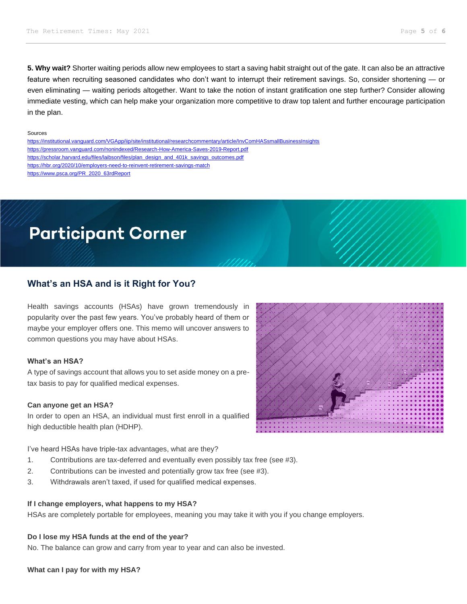**5. Why wait?** Shorter waiting periods allow new employees to start a saving habit straight out of the gate. It can also be an attractive feature when recruiting seasoned candidates who don't want to interrupt their retirement savings. So, consider shortening — or even eliminating — waiting periods altogether. Want to take the notion of instant gratification one step further? Consider allowing immediate vesting, which can help make your organization more competitive to draw top talent and further encourage participation in the plan.

#### Sources

<https://institutional.vanguard.com/VGApp/iip/site/institutional/researchcommentary/article/InvComHASsmallBusinessInsights> <https://pressroom.vanguard.com/nonindexed/Research-How-America-Saves-2019-Report.pdf> [https://scholar.harvard.edu/files/laibson/files/plan\\_design\\_and\\_401k\\_savings\\_outcomes.pdf](https://scholar.harvard.edu/files/laibson/files/plan_design_and_401k_savings_outcomes.pdf) <https://hbr.org/2020/10/employers-need-to-reinvent-retirement-savings-match> [https://www.psca.org/PR\\_2020\\_63rdReport](https://www.psca.org/PR_2020_63rdReport)

# **Participant Corner**

# **What's an HSA and is it Right for You?**

Health savings accounts (HSAs) have grown tremendously in popularity over the past few years. You've probably heard of them or maybe your employer offers one. This memo will uncover answers to common questions you may have about HSAs.

# **What's an HSA?**

A type of savings account that allows you to set aside money on a pretax basis to pay for qualified medical expenses.

### **Can anyone get an HSA?**

In order to open an HSA, an individual must first enroll in a qualified high deductible health plan (HDHP).

I've heard HSAs have triple-tax advantages, what are they?

- 1. Contributions are tax-deferred and eventually even possibly tax free (see #3).
- 2. Contributions can be invested and potentially grow tax free (see #3).
- 3. Withdrawals aren't taxed, if used for qualified medical expenses.

#### **If I change employers, what happens to my HSA?**

HSAs are completely portable for employees, meaning you may take it with you if you change employers.

# **Do I lose my HSA funds at the end of the year?**

No. The balance can grow and carry from year to year and can also be invested.

# **What can I pay for with my HSA?**